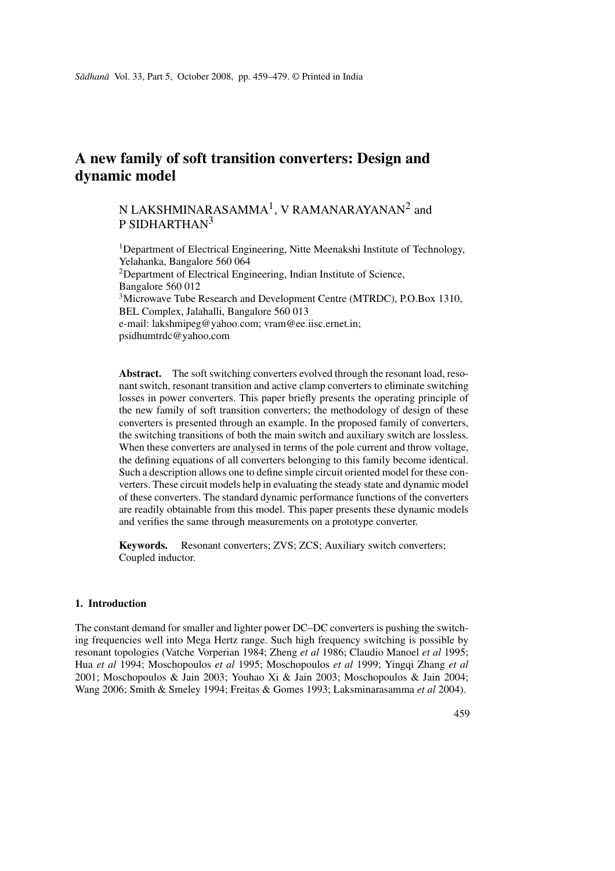# **A new family of soft transition converters: Design and dynamic model**

## N LAKSHMINARASAMMA $^1$ , V RAMANARAYANAN $^2$  and P SIDHARTHAN<sup>3</sup>

<sup>1</sup>Department of Electrical Engineering, Nitte Meenakshi Institute of Technology, Yelahanka, Bangalore 560 064 <sup>2</sup>Department of Electrical Engineering, Indian Institute of Science, Bangalore 560 012 <sup>3</sup>Microwave Tube Research and Development Centre (MTRDC), P.O.Box 1310, BEL Complex, Jalahalli, Bangalore 560 013 e-mail: lakshmipeg@yahoo.com; vram@ee.iisc.ernet.in; psidhumtrdc@yahoo.com

Abstract. The soft switching converters evolved through the resonant load, resonant switch, resonant transition and active clamp converters to eliminate switching losses in power converters. This paper briefly presents the operating principle of the new family of soft transition converters; the methodology of design of these converters is presented through an example. In the proposed family of converters, the switching transitions of both the main switch and auxiliary switch are lossless. When these converters are analysed in terms of the pole current and throw voltage, the defining equations of all converters belonging to this family become identical. Such a description allows one to define simple circuit oriented model for these converters. These circuit models help in evaluating the steady state and dynamic model of these converters. The standard dynamic performance functions of the converters are readily obtainable from this model. This paper presents these dynamic models and verifies the same through measurements on a prototype converter.

**Keywords.** Resonant converters; ZVS; ZCS; Auxiliary switch converters; Coupled inductor.

## **1. Introduction**

The constant demand for smaller and lighter power DC–DC converters is pushing the switching frequencies well into Mega Hertz range. Such high frequency switching is possible by resonant topologies (Vatche Vorperian 1984; Zheng *et al* 1986; Claudio Manoel *et al* 1995; Hua *et al* 1994; Moschopoulos *et al* 1995; Moschopoulos *et al* 1999; Yingqi Zhang *et al* 2001; Moschopoulos & Jain 2003; Youhao Xi & Jain 2003; Moschopoulos & Jain 2004; Wang 2006; Smith & Smeley 1994; Freitas & Gomes 1993; Laksminarasamma *et al* 2004).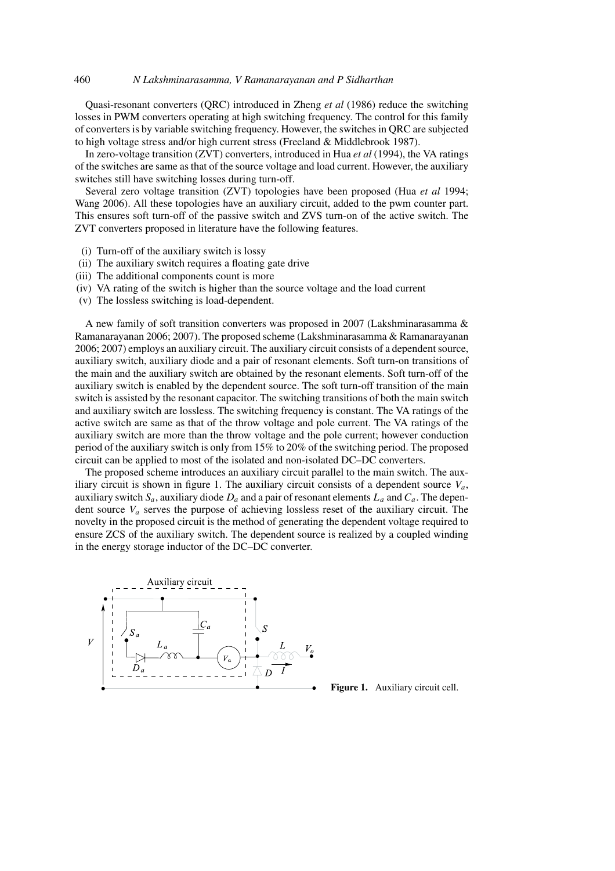Quasi-resonant converters (QRC) introduced in Zheng *et al* (1986) reduce the switching losses in PWM converters operating at high switching frequency. The control for this family of converters is by variable switching frequency. However, the switches in QRC are subjected to high voltage stress and/or high current stress (Freeland & Middlebrook 1987).

In zero-voltage transition (ZVT) converters, introduced in Hua *et al* (1994), the VA ratings of the switches are same as that of the source voltage and load current. However, the auxiliary switches still have switching losses during turn-off.

Several zero voltage transition (ZVT) topologies have been proposed (Hua *et al* 1994; Wang 2006). All these topologies have an auxiliary circuit, added to the pwm counter part. This ensures soft turn-off of the passive switch and ZVS turn-on of the active switch. The ZVT converters proposed in literature have the following features.

- (i) Turn-off of the auxiliary switch is lossy
- (ii) The auxiliary switch requires a floating gate drive
- (iii) The additional components count is more
- (iv) VA rating of the switch is higher than the source voltage and the load current
- (v) The lossless switching is load-dependent.

A new family of soft transition converters was proposed in 2007 (Lakshminarasamma & Ramanarayanan 2006; 2007). The proposed scheme (Lakshminarasamma & Ramanarayanan 2006; 2007) employs an auxiliary circuit. The auxiliary circuit consists of a dependent source, auxiliary switch, auxiliary diode and a pair of resonant elements. Soft turn-on transitions of the main and the auxiliary switch are obtained by the resonant elements. Soft turn-off of the auxiliary switch is enabled by the dependent source. The soft turn-off transition of the main switch is assisted by the resonant capacitor. The switching transitions of both the main switch and auxiliary switch are lossless. The switching frequency is constant. The VA ratings of the active switch are same as that of the throw voltage and pole current. The VA ratings of the auxiliary switch are more than the throw voltage and the pole current; however conduction period of the auxiliary switch is only from 15% to 20% of the switching period. The proposed circuit can be applied to most of the isolated and non-isolated DC–DC converters.

The proposed scheme introduces an auxiliary circuit parallel to the main switch. The auxiliary circuit is shown in figure 1. The auxiliary circuit consists of a dependent source  $V_a$ , auxiliary switch  $S_a$ , auxiliary diode  $D_a$  and a pair of resonant elements  $L_a$  and  $C_a$ . The dependent source  $V_a$  serves the purpose of achieving lossless reset of the auxiliary circuit. The novelty in the proposed circuit is the method of generating the dependent voltage required to ensure ZCS of the auxiliary switch. The dependent source is realized by a coupled winding in the energy storage inductor of the DC–DC converter.



**Figure 1.** Auxiliary circuit cell.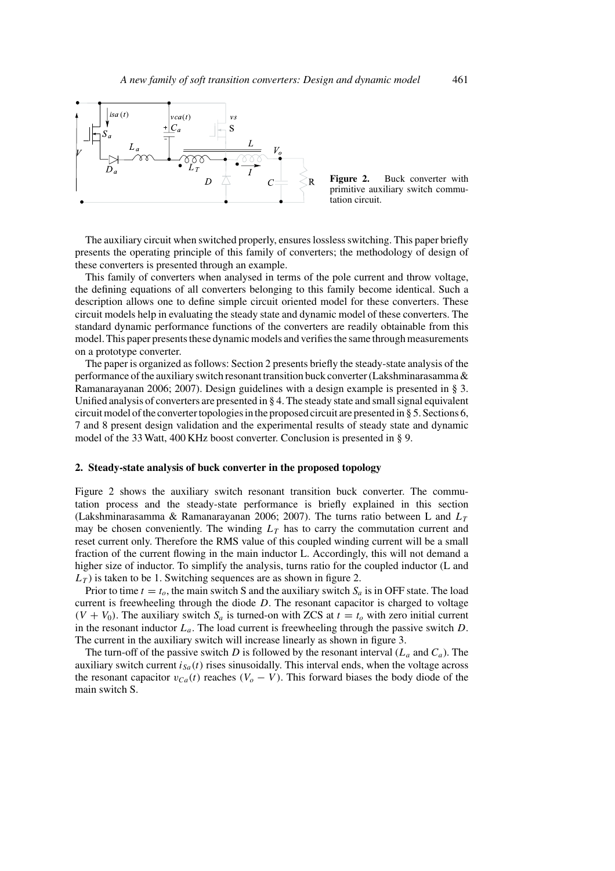

Figure 2. Buck converter with primitive auxiliary switch commutation circuit.

The auxiliary circuit when switched properly, ensures lossless switching. This paper briefly presents the operating principle of this family of converters; the methodology of design of these converters is presented through an example.

This family of converters when analysed in terms of the pole current and throw voltage, the defining equations of all converters belonging to this family become identical. Such a description allows one to define simple circuit oriented model for these converters. These circuit models help in evaluating the steady state and dynamic model of these converters. The standard dynamic performance functions of the converters are readily obtainable from this model. This paper presents these dynamic models and verifies the same through measurements on a prototype converter.

The paper is organized as follows: Section 2 presents briefly the steady-state analysis of the performance of the auxiliary switch resonant transition buck converter (Lakshminarasamma & Ramanarayanan 2006; 2007). Design guidelines with a design example is presented in § 3. Unified analysis of converters are presented in § 4. The steady state and small signal equivalent circuit model of the converter topologies in the proposed circuit are presented in § 5. Sections 6, 7 and 8 present design validation and the experimental results of steady state and dynamic model of the 33 Watt, 400 KHz boost converter. Conclusion is presented in § 9.

## **2. Steady-state analysis of buck converter in the proposed topology**

Figure 2 shows the auxiliary switch resonant transition buck converter. The commutation process and the steady-state performance is briefly explained in this section (Lakshminarasamma & Ramanarayanan 2006; 2007). The turns ratio between L and  $L<sub>T</sub>$ may be chosen conveniently. The winding  $L<sub>T</sub>$  has to carry the commutation current and reset current only. Therefore the RMS value of this coupled winding current will be a small fraction of the current flowing in the main inductor L. Accordingly, this will not demand a higher size of inductor. To simplify the analysis, turns ratio for the coupled inductor (L and  $L<sub>T</sub>$ ) is taken to be 1. Switching sequences are as shown in figure 2.

Prior to time  $t = t_0$ , the main switch S and the auxiliary switch  $S_a$  is in OFF state. The load current is freewheeling through the diode  $D$ . The resonant capacitor is charged to voltage  $(V + V_0)$ . The auxiliary switch  $S_a$  is turned-on with ZCS at  $t = t_0$  with zero initial current in the resonant inductor  $L_a$ . The load current is freewheeling through the passive switch D. The current in the auxiliary switch will increase linearly as shown in figure 3.

The turn-off of the passive switch D is followed by the resonant interval  $(L_a$  and  $C_a)$ . The auxiliary switch current  $i_{Sa}(t)$  rises sinusoidally. This interval ends, when the voltage across the resonant capacitor  $v_{Ca}(t)$  reaches  $(V_o - V)$ . This forward biases the body diode of the main switch S.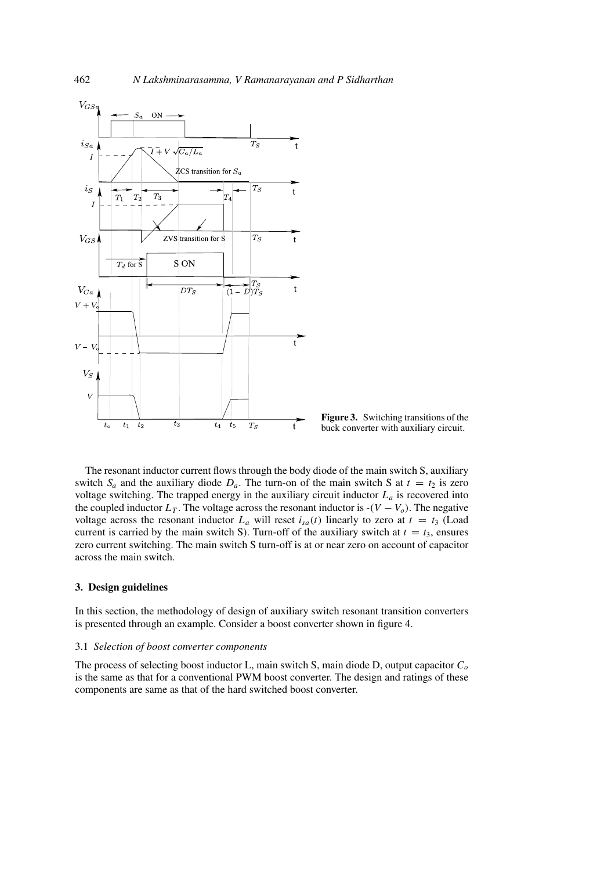

**Figure 3.** Switching transitions of the buck converter with auxiliary circuit.

The resonant inductor current flows through the body diode of the main switch S, auxiliary switch  $S_a$  and the auxiliary diode  $D_a$ . The turn-on of the main switch S at  $t = t_2$  is zero voltage switching. The trapped energy in the auxiliary circuit inductor  $L_a$  is recovered into the coupled inductor  $L_T$ . The voltage across the resonant inductor is  $-(V - V_o)$ . The negative voltage across the resonant inductor  $L_a$  will reset  $i_{sa}(t)$  linearly to zero at  $t = t_3$  (Load current is carried by the main switch S). Turn-off of the auxiliary switch at  $t = t_3$ , ensures zero current switching. The main switch S turn-off is at or near zero on account of capacitor across the main switch.

#### **3. Design guidelines**

In this section, the methodology of design of auxiliary switch resonant transition converters is presented through an example. Consider a boost converter shown in figure 4.

#### 3.1 *Selection of boost converter components*

The process of selecting boost inductor L, main switch S, main diode D, output capacitor  $C<sub>o</sub>$ is the same as that for a conventional PWM boost converter. The design and ratings of these components are same as that of the hard switched boost converter.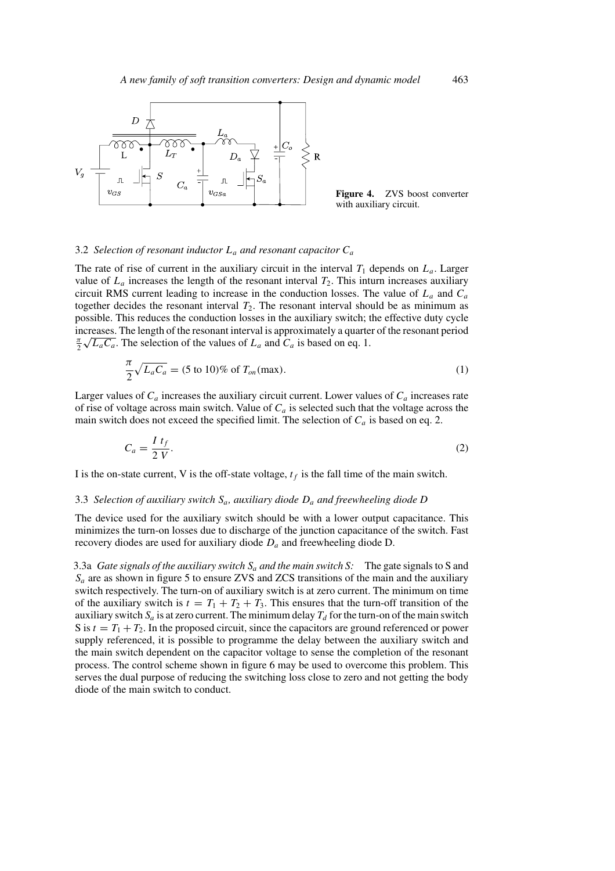

**Figure 4.** ZVS boost converter with auxiliary circuit.

#### 3.2 *Selection of resonant inductor* L<sup>a</sup> *and resonant capacitor* C<sup>a</sup>

The rate of rise of current in the auxiliary circuit in the interval  $T_1$  depends on  $L_a$ . Larger value of  $L_a$  increases the length of the resonant interval  $T_2$ . This inturn increases auxiliary circuit RMS current leading to increase in the conduction losses. The value of  $L_a$  and  $C_a$ together decides the resonant interval  $T_2$ . The resonant interval should be as minimum as possible. This reduces the conduction losses in the auxiliary switch; the effective duty cycle increases. The length of the resonant interval is approximately a quarter of the resonant period  $\frac{\pi}{2} \sqrt{L_a C_a}$ . The selection of the values of  $L_a$  and  $C_a$  is based on eq. 1.

$$
\frac{\pi}{2}\sqrt{L_aC_a} = (5 \text{ to } 10)\% \text{ of } T_{on}(\text{max}).
$$
\n(1)

Larger values of  $C_a$  increases the auxiliary circuit current. Lower values of  $C_a$  increases rate of rise of voltage across main switch. Value of  $C_a$  is selected such that the voltage across the main switch does not exceed the specified limit. The selection of  $C_a$  is based on eq. 2.

$$
C_a = \frac{I \ t_f}{2 \ V}.\tag{2}
$$

I is the on-state current, V is the off-state voltage,  $t_f$  is the fall time of the main switch.

#### 3.3 *Selection of auxiliary switch* Sa*, auxiliary diode* D<sup>a</sup> *and freewheeling diode D*

The device used for the auxiliary switch should be with a lower output capacitance. This minimizes the turn-on losses due to discharge of the junction capacitance of the switch. Fast recovery diodes are used for auxiliary diode  $D_a$  and freewheeling diode D.

3.3a *Gate signals of the auxiliary switch*  $S_a$  *and the main switch* S: The gate signals to S and  $S_a$  are as shown in figure 5 to ensure ZVS and ZCS transitions of the main and the auxiliary switch respectively. The turn-on of auxiliary switch is at zero current. The minimum on time of the auxiliary switch is  $t = T_1 + T_2 + T_3$ . This ensures that the turn-off transition of the auxiliary switch  $S_a$  is at zero current. The minimum delay  $T_d$  for the turn-on of the main switch S is  $t = T_1 + T_2$ . In the proposed circuit, since the capacitors are ground referenced or power supply referenced, it is possible to programme the delay between the auxiliary switch and the main switch dependent on the capacitor voltage to sense the completion of the resonant process. The control scheme shown in figure 6 may be used to overcome this problem. This serves the dual purpose of reducing the switching loss close to zero and not getting the body diode of the main switch to conduct.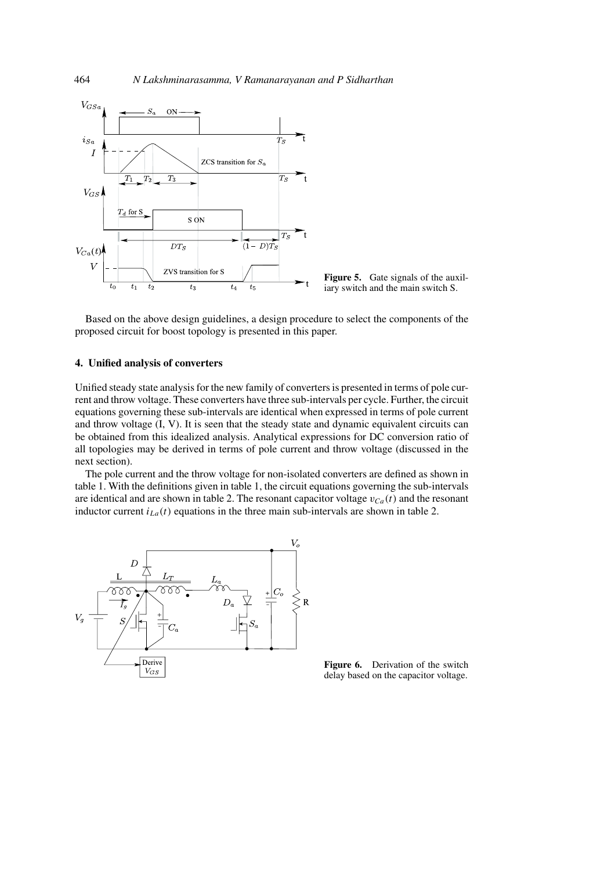

**Figure 5.** Gate signals of the auxiliary switch and the main switch S.

Based on the above design guidelines, a design procedure to select the components of the proposed circuit for boost topology is presented in this paper.

## **4. Unified analysis of converters**

Unified steady state analysis for the new family of converters is presented in terms of pole current and throw voltage. These converters have three sub-intervals per cycle. Further, the circuit equations governing these sub-intervals are identical when expressed in terms of pole current and throw voltage (I, V). It is seen that the steady state and dynamic equivalent circuits can be obtained from this idealized analysis. Analytical expressions for DC conversion ratio of all topologies may be derived in terms of pole current and throw voltage (discussed in the next section).

The pole current and the throw voltage for non-isolated converters are defined as shown in table 1. With the definitions given in table 1, the circuit equations governing the sub-intervals are identical and are shown in table 2. The resonant capacitor voltage  $v_{Ca}(t)$  and the resonant inductor current  $i_{La}(t)$  equations in the three main sub-intervals are shown in table 2.



**Figure 6.** Derivation of the switch delay based on the capacitor voltage.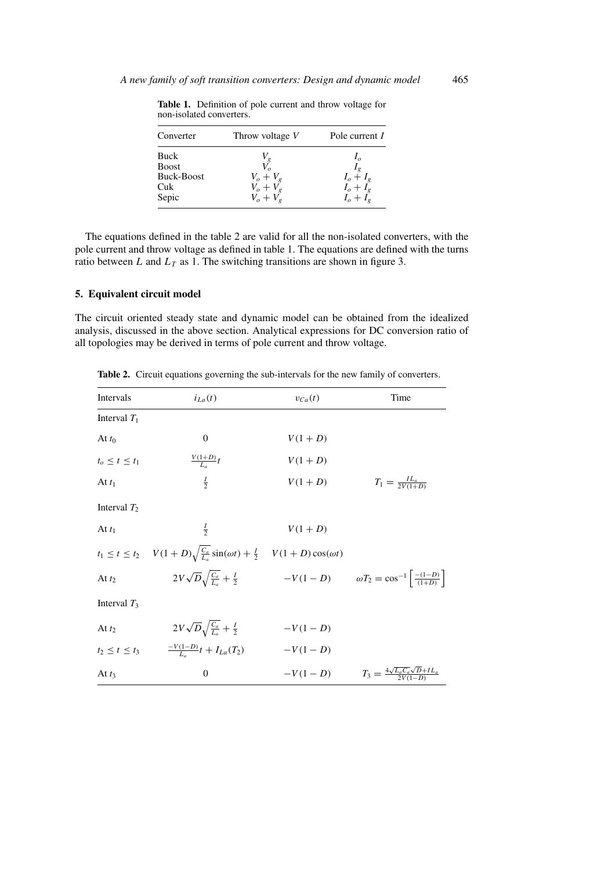| Converter    | Throw voltage V | Pole current I |
|--------------|-----------------|----------------|
| Buck         | $V_{g}$         |                |
| <b>Boost</b> |                 |                |
| Buck-Boost   | $V_o + V_g$     | $I_o + I_g$    |
| Cuk          | $V_o + V_g$     | $I_o + I_g$    |
| Sepic        | $V_o + V_g$     | $I_o + I_g$    |

**Table 1.** Definition of pole current and throw voltage for non-isolated converters.

The equations defined in the table 2 are valid for all the non-isolated converters, with the pole current and throw voltage as defined in table 1. The equations are defined with the turns ratio between L and  $L_T$  as 1. The switching transitions are shown in figure 3.

## **5. Equivalent circuit model**

The circuit oriented steady state and dynamic model can be obtained from the idealized analysis, discussed in the above section. Analytical expressions for DC conversion ratio of all topologies may be derived in terms of pole current and throw voltage.

| Intervals             | $i_{La}(t)$                                                                                           | $v_{Ca}(t)$ | Time                                                                   |
|-----------------------|-------------------------------------------------------------------------------------------------------|-------------|------------------------------------------------------------------------|
| Interval $T_1$        |                                                                                                       |             |                                                                        |
| At $t_0$              | $\overline{0}$                                                                                        | $V(1+D)$    |                                                                        |
| $t_o \le t \le t_1$   | $\frac{V(1+D)}{L_a}t$                                                                                 | $V(1+D)$    |                                                                        |
| At $t_1$              | $rac{I}{2}$                                                                                           | $V(1+D)$    | $T_1 = \frac{IL_a}{2V(1+D)}$                                           |
| Interval $T_2$        |                                                                                                       |             |                                                                        |
| At $t_1$              | $\frac{1}{2}$                                                                                         | $V(1+D)$    |                                                                        |
|                       | $t_1 \le t \le t_2$ $V(1+D)\sqrt{\frac{C_a}{L_a}}\sin(\omega t) + \frac{I}{2}$ $V(1+D)\cos(\omega t)$ |             |                                                                        |
| At $t_2$              | $2V\sqrt{D}\sqrt{\frac{C_a}{L_a}}+\frac{I}{2}$                                                        |             | $-V(1-D)$ $\omega T_2 = \cos^{-1} \left[ \frac{-(1-D)}{(1+D)} \right]$ |
| Interval $T_3$        |                                                                                                       |             |                                                                        |
| At $t_2$              | $2V\sqrt{D}\sqrt{\frac{C_a}{L_a}+\frac{I}{2}}$                                                        | $-V(1-D)$   |                                                                        |
| $t_2 \leq t \leq t_3$ | $\frac{-V(1-D)}{L_a}t + I_{La}(T_2)$                                                                  | $-V(1-D)$   |                                                                        |
| At $t_3$              | $\overline{0}$                                                                                        | $-V(1-D)$   | $T_3 = \frac{4\sqrt{L_a C_a} \sqrt{D+IL_a}}{2V(1-D)}$                  |

**Table 2.** Circuit equations governing the sub-intervals for the new family of converters.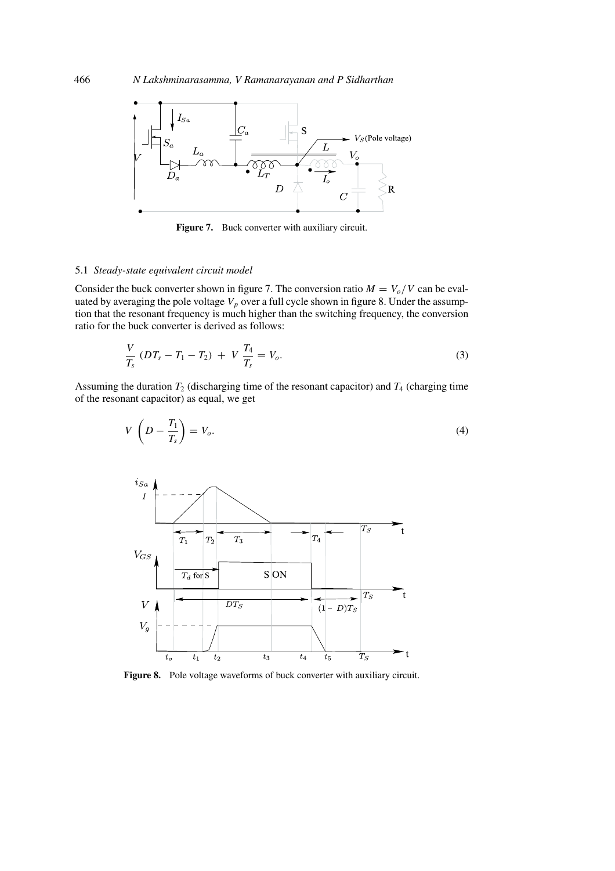

Figure 7. Buck converter with auxiliary circuit.

#### 5.1 *Steady-state equivalent circuit model*

Consider the buck converter shown in figure 7. The conversion ratio  $M = V_0/V$  can be evaluated by averaging the pole voltage  $V_p$  over a full cycle shown in figure 8. Under the assumption that the resonant frequency is much higher than the switching frequency, the conversion ratio for the buck converter is derived as follows:

$$
\frac{V}{T_s} (DT_s - T_1 - T_2) + V \frac{T_4}{T_s} = V_o.
$$
\n(3)

Assuming the duration  $T_2$  (discharging time of the resonant capacitor) and  $T_4$  (charging time of the resonant capacitor) as equal, we get

$$
V\left(D - \frac{T_1}{T_s}\right) = V_o.
$$
\n<sup>(4)</sup>



**Figure 8.** Pole voltage waveforms of buck converter with auxiliary circuit.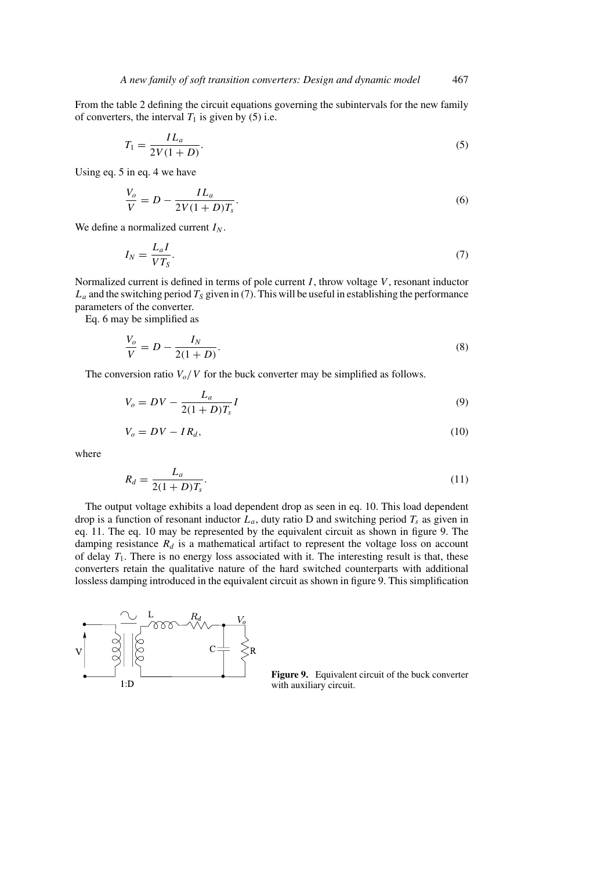From the table 2 defining the circuit equations governing the subintervals for the new family of converters, the interval  $T_1$  is given by (5) i.e.

$$
T_1 = \frac{IL_a}{2V(1+D)}.\tag{5}
$$

Using eq. 5 in eq. 4 we have

$$
\frac{V_o}{V} = D - \frac{IL_a}{2V(1+D)T_s}.
$$
\n(6)

We define a normalized current  $I_N$ .

$$
I_N = \frac{L_a I}{VT_S}.\tag{7}
$$

Normalized current is defined in terms of pole current  $I$ , throw voltage  $V$ , resonant inductor  $L_a$  and the switching period  $T_s$  given in (7). This will be useful in establishing the performance parameters of the converter.

Eq. 6 may be simplified as

$$
\frac{V_o}{V} = D - \frac{I_N}{2(1+D)}.
$$
\n(8)

The conversion ratio  $V_o/V$  for the buck converter may be simplified as follows.

$$
V_o = DV - \frac{L_a}{2(1+D)T_s}I
$$
\n(9)

$$
V_o = DV - IR_d, \tag{10}
$$

where

$$
R_d = \frac{L_a}{2(1+D)T_s}.\tag{11}
$$

The output voltage exhibits a load dependent drop as seen in eq. 10. This load dependent drop is a function of resonant inductor  $L_a$ , duty ratio D and switching period  $T_s$  as given in eq. 11. The eq. 10 may be represented by the equivalent circuit as shown in figure 9. The damping resistance  $R_d$  is a mathematical artifact to represent the voltage loss on account of delay  $T_1$ . There is no energy loss associated with it. The interesting result is that, these converters retain the qualitative nature of the hard switched counterparts with additional lossless damping introduced in the equivalent circuit as shown in figure 9. This simplification



**Figure 9.** Equivalent circuit of the buck converter with auxiliary circuit.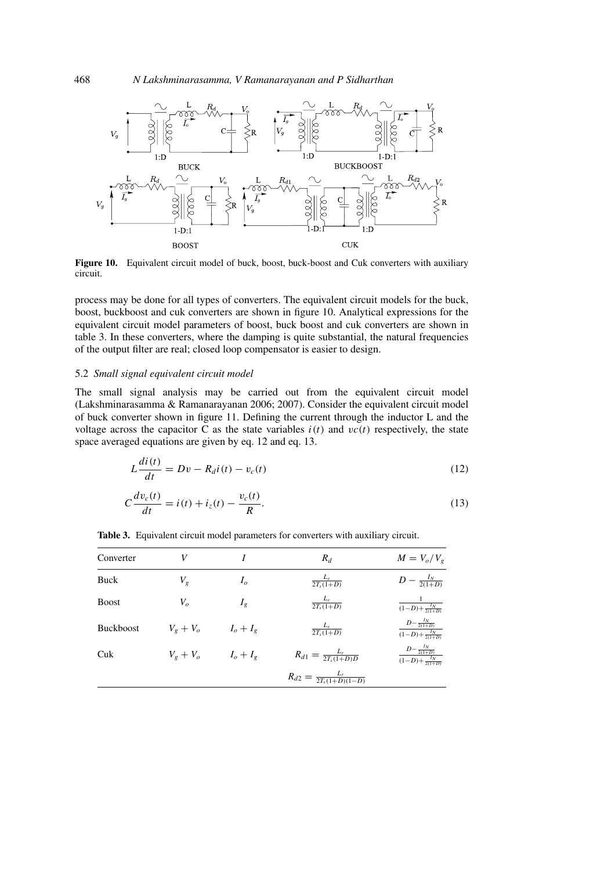

**Figure 10.** Equivalent circuit model of buck, boost, buck-boost and Cuk converters with auxiliary circuit.

process may be done for all types of converters. The equivalent circuit models for the buck, boost, buckboost and cuk converters are shown in figure 10. Analytical expressions for the equivalent circuit model parameters of boost, buck boost and cuk converters are shown in table 3. In these converters, where the damping is quite substantial, the natural frequencies of the output filter are real; closed loop compensator is easier to design.

## 5.2 *Small signal equivalent circuit model*

di(t)

The small signal analysis may be carried out from the equivalent circuit model (Lakshminarasamma & Ramanarayanan 2006; 2007). Consider the equivalent circuit model of buck converter shown in figure 11. Defining the current through the inductor L and the voltage across the capacitor C as the state variables  $i(t)$  and  $v(t)$  respectively, the state space averaged equations are given by eq. 12 and eq. 13.

$$
L\frac{di(t)}{dt} = Dv - R_d i(t) - v_c(t)
$$
\n(12)

$$
C\frac{dv_c(t)}{dt} = i(t) + i_z(t) - \frac{v_c(t)}{R}.
$$
\n(13)

**Table 3.** Equivalent circuit model parameters for converters with auxiliary circuit.

| Converter        | V           |                | $R_d$                                 | $M = V_o/V_g$                                               |
|------------------|-------------|----------------|---------------------------------------|-------------------------------------------------------------|
| Buck             | $V_g$       | I <sub>o</sub> | $\frac{L_r}{2T_s(1+D)}$               | $D - \frac{I_N}{2(1+D)}$                                    |
| <b>Boost</b>     | $V_o$       | $I_{g}$        | $\frac{L_r}{2T_s(1+D)}$               | $\frac{1}{(1-D)+\frac{I_N}{2(1+D)}}$                        |
| <b>Buckboost</b> | $V_g + V_o$ | $I_o + I_g$    | $\frac{L_r}{2T_s(1+D)}$               | $\frac{D - \frac{I_N}{2(1+D)}}{(1-D) + \frac{I_N}{2(1+D)}}$ |
| Cuk              | $V_g + V_o$ | $I_o + I_g$    | $R_{d1} = \frac{L_r}{2T_s(1+D)D}$     | $\frac{D - \frac{I_N}{2(1+D)}}{(1-D) + \frac{I_N}{2(1+D)}}$ |
|                  |             |                | $R_{d2} = \frac{L_r}{2T_s(1+D)(1-D)}$ |                                                             |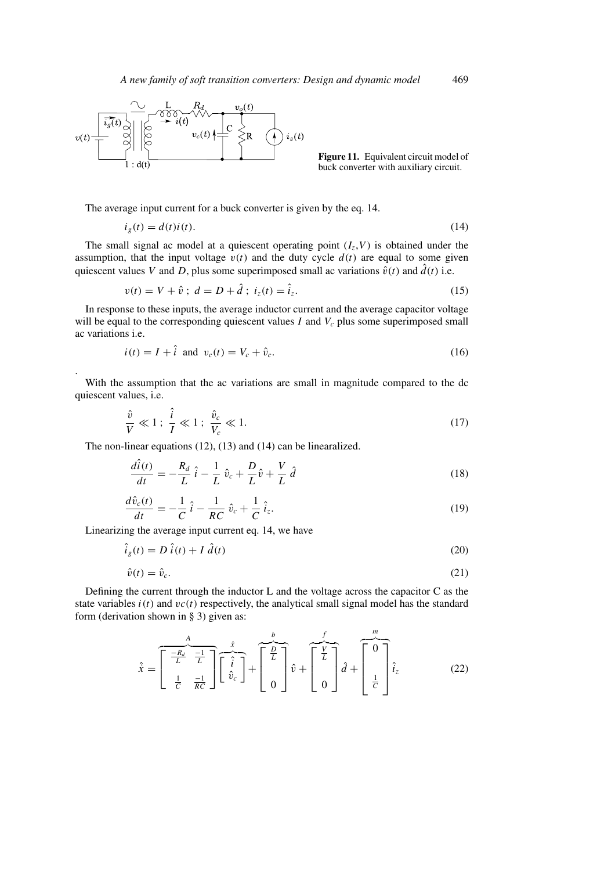

**Figure 11.** Equivalent circuit model of buck converter with auxiliary circuit.

The average input current for a buck converter is given by the eq. 14.

$$
i_g(t) = d(t)i(t). \tag{14}
$$

The small signal ac model at a quiescent operating point  $(I, V)$  is obtained under the assumption, that the input voltage  $v(t)$  and the duty cycle  $d(t)$  are equal to some given quiescent values V and D, plus some superimposed small ac variations  $\hat{v}(t)$  and  $\hat{d}(t)$  i.e.

$$
v(t) = V + \hat{v} \; ; \; d = D + \hat{d} \; ; \; i_z(t) = \hat{i}_z. \tag{15}
$$

In response to these inputs, the average inductor current and the average capacitor voltage will be equal to the corresponding quiescent values I and  $V_c$  plus some superimposed small ac variations i.e.

$$
i(t) = I + i \quad \text{and} \quad v_c(t) = V_c + \hat{v}_c. \tag{16}
$$

With the assumption that the ac variations are small in magnitude compared to the dc quiescent values, i.e.

$$
\frac{\hat{v}}{V} \ll 1; \frac{\hat{i}}{I} \ll 1; \frac{\hat{v}_c}{V_c} \ll 1.
$$
\n(17)

The non-linear equations (12), (13) and (14) can be linearalized.

$$
\frac{d\hat{i}(t)}{dt} = -\frac{R_d}{L}\hat{i} - \frac{1}{L}\hat{v}_c + \frac{D}{L}\hat{v} + \frac{V}{L}\hat{d}
$$
\n(18)

$$
\frac{d\hat{v}_c(t)}{dt} = -\frac{1}{C}\,\hat{i} - \frac{1}{RC}\,\hat{v}_c + \frac{1}{C}\,\hat{i}_z.
$$
\n(19)

Linearizing the average input current eq. 14, we have

.

$$
\ddot{i}_g(t) = D \dot{i}(t) + I \dot{d}(t) \tag{20}
$$

$$
\hat{v}(t) = \hat{v}_c. \tag{21}
$$

Defining the current through the inductor L and the voltage across the capacitor C as the state variables  $i(t)$  and  $vc(t)$  respectively, the analytical small signal model has the standard form (derivation shown in § 3) given as:

$$
\hat{x} = \begin{bmatrix} \frac{A}{L} & \frac{1}{L} \\ \frac{1}{C} & \frac{-1}{RC} \end{bmatrix} \begin{bmatrix} \hat{i} \\ \hat{i} \\ \hat{v}_c \end{bmatrix} + \begin{bmatrix} \frac{b}{L} \\ 0 \end{bmatrix} \hat{v} + \begin{bmatrix} \frac{y}{L} \\ 0 \end{bmatrix} \hat{d} + \begin{bmatrix} \frac{m}{2} \\ \frac{1}{C} \end{bmatrix} \hat{i}_z
$$
(22)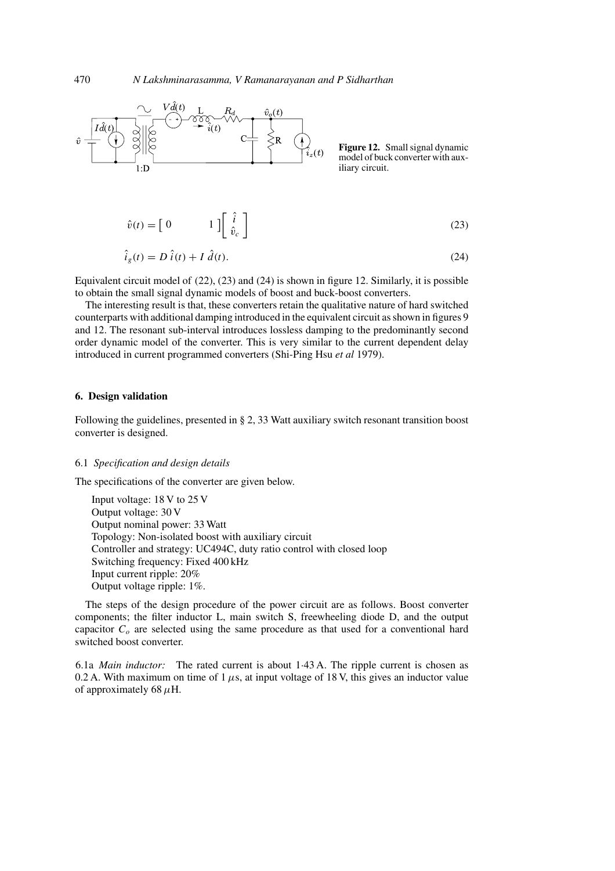

**Figure 12.** Small signal dynamic model of buck converter with auxiliary circuit.

$$
\hat{v}(t) = \begin{bmatrix} 0 & 1 \end{bmatrix} \begin{bmatrix} \hat{i} \\ \hat{v}_c \end{bmatrix}
$$
 (23)

$$
\hat{i}_g(t) = D \hat{i}(t) + I \hat{d}(t). \tag{24}
$$

Equivalent circuit model of (22), (23) and (24) is shown in figure 12. Similarly, it is possible to obtain the small signal dynamic models of boost and buck-boost converters.

The interesting result is that, these converters retain the qualitative nature of hard switched counterparts with additional damping introduced in the equivalent circuit as shown in figures 9 and 12. The resonant sub-interval introduces lossless damping to the predominantly second order dynamic model of the converter. This is very similar to the current dependent delay introduced in current programmed converters (Shi-Ping Hsu *et al* 1979).

#### **6. Design validation**

Following the guidelines, presented in § 2, 33 Watt auxiliary switch resonant transition boost converter is designed.

#### 6.1 *Specification and design details*

The specifications of the converter are given below.

Input voltage: 18 V to 25 V Output voltage: 30 V Output nominal power: 33 Watt Topology: Non-isolated boost with auxiliary circuit Controller and strategy: UC494C, duty ratio control with closed loop Switching frequency: Fixed 400 kHz Input current ripple: 20% Output voltage ripple: 1%.

The steps of the design procedure of the power circuit are as follows. Boost converter components; the filter inductor L, main switch S, freewheeling diode D, and the output capacitor  $C<sub>o</sub>$  are selected using the same procedure as that used for a conventional hard switched boost converter.

6.1a *Main inductor:* The rated current is about 1·43 A. The ripple current is chosen as 0.2 A. With maximum on time of  $1 \mu s$ , at input voltage of 18 V, this gives an inductor value of approximately 68  $\mu$ H.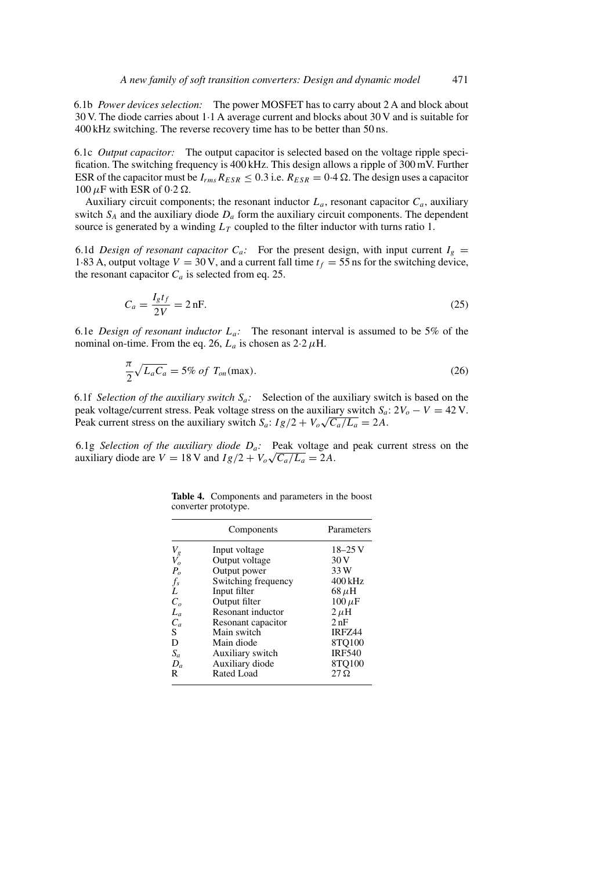6.1b *Power devices selection:* The power MOSFET has to carry about 2 A and block about 30 V. The diode carries about 1·1 A average current and blocks about 30 V and is suitable for 400 kHz switching. The reverse recovery time has to be better than 50 ns.

6.1c *Output capacitor:* The output capacitor is selected based on the voltage ripple specification. The switching frequency is 400 kHz. This design allows a ripple of 300 mV. Further ESR of the capacitor must be  $I_{rms}R_{ESR} \leq 0.3$  i.e.  $R_{ESR} = 0.4 \Omega$ . The design uses a capacitor 100  $\mu$ F with ESR of 0.2  $\Omega$ .

Auxiliary circuit components; the resonant inductor  $L_a$ , resonant capacitor  $C_a$ , auxiliary switch  $S_A$  and the auxiliary diode  $D_a$  form the auxiliary circuit components. The dependent source is generated by a winding  $L<sub>T</sub>$  coupled to the filter inductor with turns ratio 1.

6.1d *Design of resonant capacitor*  $C_a$ : For the present design, with input current  $I_g$  = 1.83 A, output voltage  $V = 30$  V, and a current fall time  $t_f = 55$  ns for the switching device, the resonant capacitor  $C_a$  is selected from eq. 25.

$$
C_a = \frac{I_g t_f}{2V} = 2 \text{ nF.}
$$
\n
$$
(25)
$$

6.1e *Design of resonant inductor*  $L_a$ : The resonant interval is assumed to be 5% of the nominal on-time. From the eq. 26,  $L_a$  is chosen as  $2.2 \mu$ H.

$$
\frac{\pi}{2}\sqrt{L_aC_a} = 5\% \ of \ T_{on}(\text{max}).\tag{26}
$$

6.1f *Selection of the auxiliary switch*  $S_a$ : Selection of the auxiliary switch is based on the peak voltage/current stress. Peak voltage stress on the auxiliary switch  $S_a$ :  $2V_o - V = 42$  V. Peak current stress on the auxiliary switch  $S_a$ :  $I_g/2 + V_o\sqrt{C_a/L_a} = 2A$ .

6.1g *Selection of the auxiliary diode*  $D_a$ : Peak voltage and peak current stress on the auxiliary diode are  $V = 18$  V and  $Ig/2 + V_o\sqrt{C_a/L_a} = 2A$ .

|              | Components          | Parameters    |
|--------------|---------------------|---------------|
| $V_g^{}$     | Input voltage       | $18 - 25$ V   |
| $\bar{V_o}$  | Output voltage      | 30 V          |
| $P_o$        | Output power        | 33 W          |
| $f_s$        | Switching frequency | $400$ kHz     |
| L            | Input filter        | $68 \mu H$    |
| $C_{\alpha}$ | Output filter       | $100 \,\mu F$ |
| $L_a$        | Resonant inductor   | $2 \mu H$     |
| $C_a$        | Resonant capacitor  | 2nF           |
| S.           | Main switch         | IRFZ44        |
| D            | Main diode          | 8TQ100        |
| $S_a$        | Auxiliary switch    | <b>IRF540</b> |
| $D_a$        | Auxiliary diode     | 8TO100        |
| R            | Rated Load          | $27\Omega$    |

**Table 4.** Components and parameters in the boost converter prototype.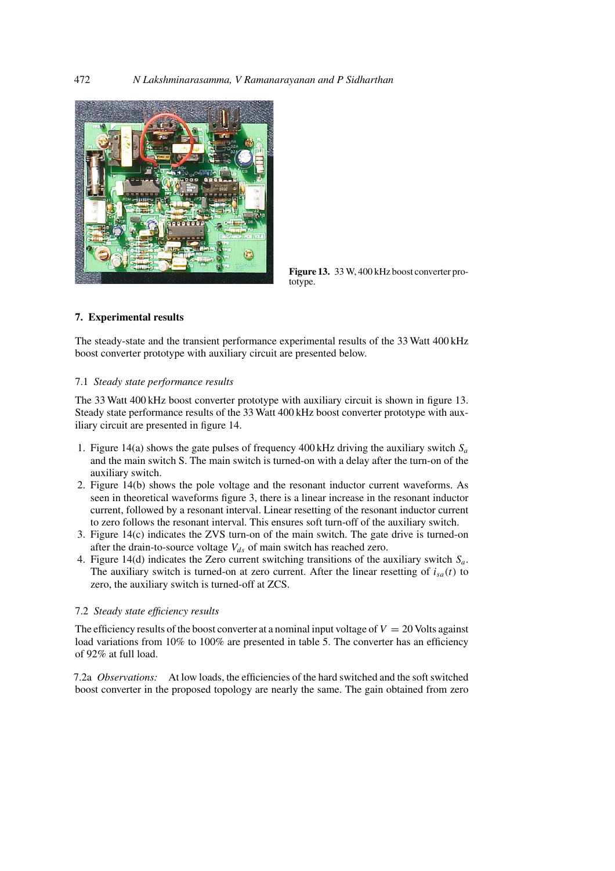

**Figure 13.** 33 W, 400 kHz boost converter prototype.

## **7. Experimental results**

The steady-state and the transient performance experimental results of the 33 Watt 400 kHz boost converter prototype with auxiliary circuit are presented below.

## 7.1 *Steady state performance results*

The 33 Watt 400 kHz boost converter prototype with auxiliary circuit is shown in figure 13. Steady state performance results of the 33 Watt 400 kHz boost converter prototype with auxiliary circuit are presented in figure 14.

- 1. Figure 14(a) shows the gate pulses of frequency 400 kHz driving the auxiliary switch  $S_a$ and the main switch S. The main switch is turned-on with a delay after the turn-on of the auxiliary switch.
- 2. Figure 14(b) shows the pole voltage and the resonant inductor current waveforms. As seen in theoretical waveforms figure 3, there is a linear increase in the resonant inductor current, followed by a resonant interval. Linear resetting of the resonant inductor current to zero follows the resonant interval. This ensures soft turn-off of the auxiliary switch.
- 3. Figure 14(c) indicates the ZVS turn-on of the main switch. The gate drive is turned-on after the drain-to-source voltage  $V_{ds}$  of main switch has reached zero.
- 4. Figure 14(d) indicates the Zero current switching transitions of the auxiliary switch  $S_a$ . The auxiliary switch is turned-on at zero current. After the linear resetting of  $i_{sa}(t)$  to zero, the auxiliary switch is turned-off at ZCS.

## 7.2 *Steady state efficiency results*

The efficiency results of the boost converter at a nominal input voltage of  $V = 20$  Volts against load variations from 10% to 100% are presented in table 5. The converter has an efficiency of 92% at full load.

7.2a *Observations:* At low loads, the efficiencies of the hard switched and the soft switched boost converter in the proposed topology are nearly the same. The gain obtained from zero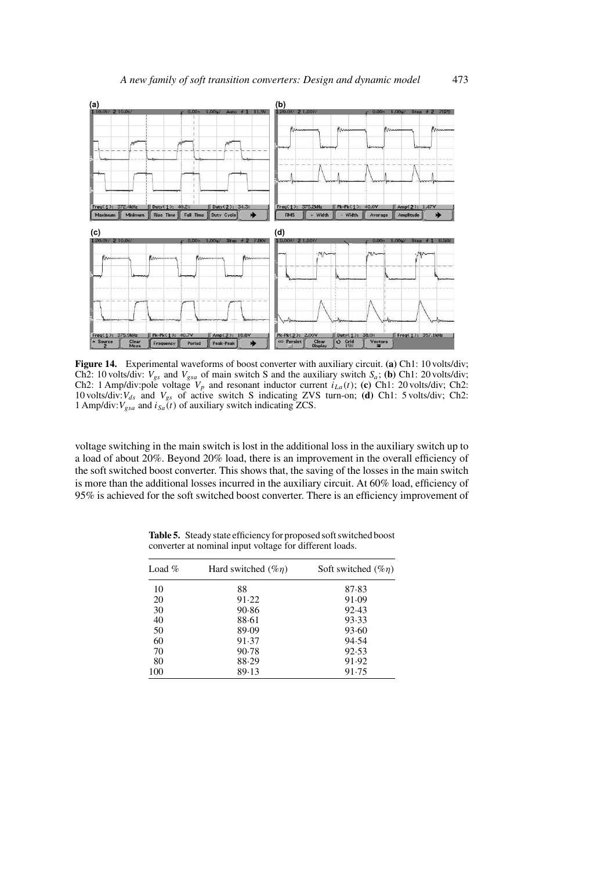

**Figure 14.** Experimental waveforms of boost converter with auxiliary circuit. **(a)** Ch1: 10 volts/div; Ch2: 10 volts/div:  $V_{gs}$  and  $V_{gsa}$  of main switch S and the auxiliary switch  $S_a$ ; **(b)** Ch1: 20 volts/div; Ch2: 1 Amp/div:pole voltage  $V_p$  and resonant inductor current  $i_{La}(t)$ ; **(c)** Ch1: 20 volts/div; Ch2: 10 volts/div:  $V_{ds}$  and  $V_{gs}$  of active switch S indicating ZVS turn-on; **(d)** Ch1: 5 volts/div; Ch2: 1 Amp/div:  $V_{gsa}$  and  $i_{Sa}(t)$  of auxiliary switch indicating ZCS.

voltage switching in the main switch is lost in the additional loss in the auxiliary switch up to a load of about 20%. Beyond 20% load, there is an improvement in the overall efficiency of the soft switched boost converter. This shows that, the saving of the losses in the main switch is more than the additional losses incurred in the auxiliary circuit. At 60% load, efficiency of 95% is achieved for the soft switched boost converter. There is an efficiency improvement of

| Load $%$ | Hard switched $(\%n)$ | Soft switched $(\%n)$ |  |
|----------|-----------------------|-----------------------|--|
| 10       | 88                    | 87.83                 |  |
| 20       | 91.22                 | 91.09                 |  |
| 30       | 90.86                 | 92.43                 |  |
| 40       | 88.61                 | 93.33                 |  |
| 50       | 89.09                 | 93.60                 |  |
| 60       | 91.37                 | 94.54                 |  |
| 70       | 90.78                 | 92.53                 |  |
| 80       | 88.29                 | 91.92                 |  |
| 100      | 89.13                 | 91.75                 |  |

**Table 5.** Steady state efficiency for proposed soft switched boost converter at nominal input voltage for different loads.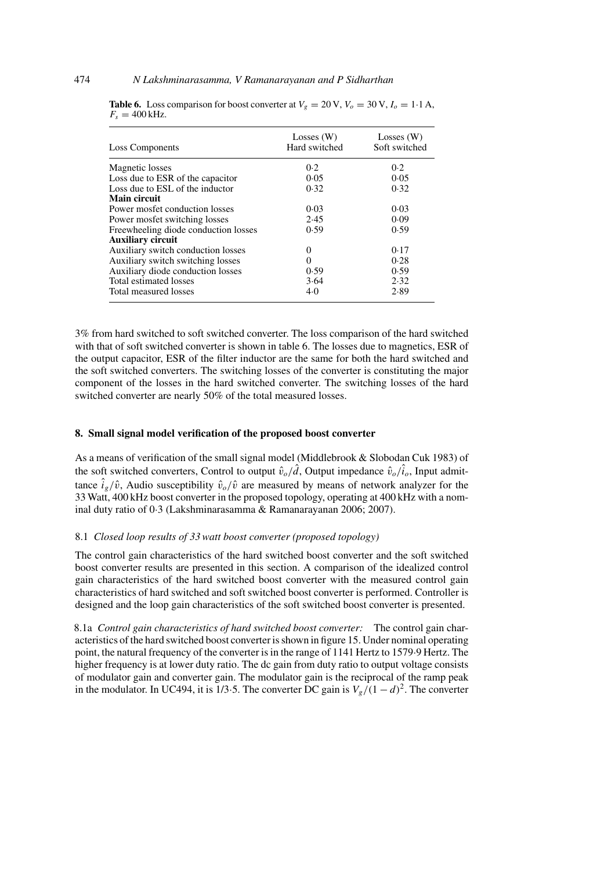| Loss Components                      | Losses $(W)$<br>Hard switched | Losses $(W)$<br>Soft switched |
|--------------------------------------|-------------------------------|-------------------------------|
| Magnetic losses                      | 0.2                           | 0.2                           |
| Loss due to ESR of the capacitor     | 0.05                          | 0.05                          |
| Loss due to ESL of the inductor      | 0.32                          | 0.32                          |
| Main circuit                         |                               |                               |
| Power mosfet conduction losses       | 0.03                          | 0.03                          |
| Power mosfet switching losses        | 2.45                          | 0.09                          |
| Freewheeling diode conduction losses | 0.59                          | 0.59                          |
| <b>Auxiliary circuit</b>             |                               |                               |
| Auxiliary switch conduction losses   | $\Omega$                      | 0.17                          |
| Auxiliary switch switching losses    | 0                             | 0.28                          |
| Auxiliary diode conduction losses    | 0.59                          | 0.59                          |
| Total estimated losses               | 3.64                          | 2.32                          |
| Total measured losses                | 4.0                           | 2.89                          |

**Table 6.** Loss comparison for boost converter at  $V_g = 20 \text{ V}$ ,  $V_o = 30 \text{ V}$ ,  $I_o = 1.1 \text{ A}$ ,  $F_s = 400$  kHz.

3% from hard switched to soft switched converter. The loss comparison of the hard switched with that of soft switched converter is shown in table 6. The losses due to magnetics, ESR of the output capacitor, ESR of the filter inductor are the same for both the hard switched and the soft switched converters. The switching losses of the converter is constituting the major component of the losses in the hard switched converter. The switching losses of the hard switched converter are nearly 50% of the total measured losses.

#### **8. Small signal model verification of the proposed boost converter**

As a means of verification of the small signal model (Middlebrook & Slobodan Cuk 1983) of the soft switched converters, Control to output  $\hat{v}_o/\hat{d}$ , Output impedance  $\hat{v}_o/\hat{i}_o$ , Input admittance  $\hat{i}_{g}/\hat{v}$ , Audio susceptibility  $\hat{v}_{o}/\hat{v}$  are measured by means of network analyzer for the 33 Watt, 400 kHz boost converter in the proposed topology, operating at 400 kHz with a nominal duty ratio of 0·3 (Lakshminarasamma & Ramanarayanan 2006; 2007).

## 8.1 *Closed loop results of 33 watt boost converter (proposed topology)*

The control gain characteristics of the hard switched boost converter and the soft switched boost converter results are presented in this section. A comparison of the idealized control gain characteristics of the hard switched boost converter with the measured control gain characteristics of hard switched and soft switched boost converter is performed. Controller is designed and the loop gain characteristics of the soft switched boost converter is presented.

8.1a *Control gain characteristics of hard switched boost converter:* The control gain characteristics of the hard switched boost converter is shown in figure 15. Under nominal operating point, the natural frequency of the converter is in the range of 1141 Hertz to 1579·9 Hertz. The higher frequency is at lower duty ratio. The dc gain from duty ratio to output voltage consists of modulator gain and converter gain. The modulator gain is the reciprocal of the ramp peak in the modulator. In UC494, it is 1/3 $\cdot$ 5. The converter DC gain is  $V_g/(1-d)^2$ . The converter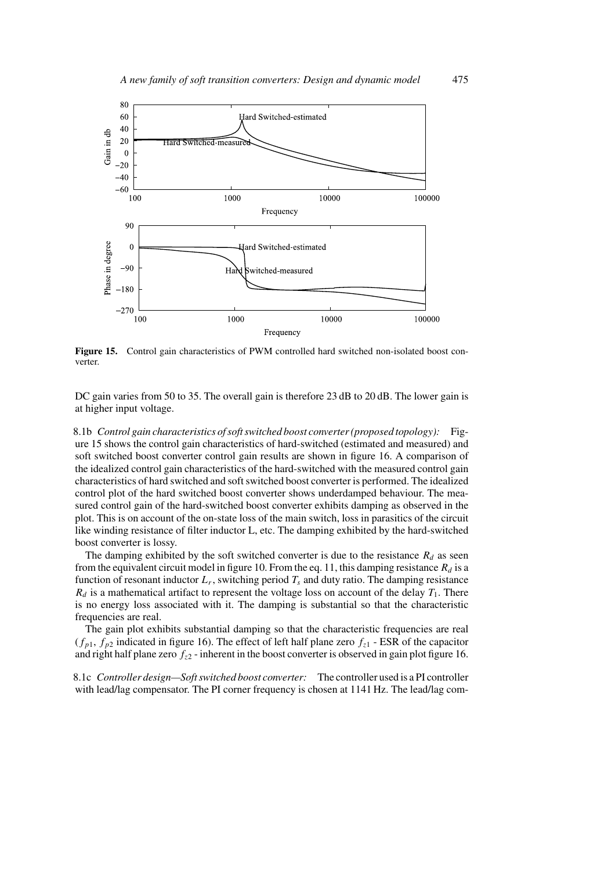![](_page_16_Figure_1.jpeg)

**Figure 15.** Control gain characteristics of PWM controlled hard switched non-isolated boost converter.

DC gain varies from 50 to 35. The overall gain is therefore 23 dB to 20 dB. The lower gain is at higher input voltage.

8.1b *Control gain characteristics of soft switched boost converter (proposed topology):* Figure 15 shows the control gain characteristics of hard-switched (estimated and measured) and soft switched boost converter control gain results are shown in figure 16. A comparison of the idealized control gain characteristics of the hard-switched with the measured control gain characteristics of hard switched and soft switched boost converter is performed. The idealized control plot of the hard switched boost converter shows underdamped behaviour. The measured control gain of the hard-switched boost converter exhibits damping as observed in the plot. This is on account of the on-state loss of the main switch, loss in parasitics of the circuit like winding resistance of filter inductor L, etc. The damping exhibited by the hard-switched boost converter is lossy.

The damping exhibited by the soft switched converter is due to the resistance  $R_d$  as seen from the equivalent circuit model in figure 10. From the eq. 11, this damping resistance  $R_d$  is a function of resonant inductor  $L_r$ , switching period  $T_s$  and duty ratio. The damping resistance  $R_d$  is a mathematical artifact to represent the voltage loss on account of the delay  $T_1$ . There is no energy loss associated with it. The damping is substantial so that the characteristic frequencies are real.

The gain plot exhibits substantial damping so that the characteristic frequencies are real  $(f_{p1}, f_{p2})$  indicated in figure 16). The effect of left half plane zero  $f_{z1}$  - ESR of the capacitor and right half plane zero  $f_{z2}$  - inherent in the boost converter is observed in gain plot figure 16.

8.1c *Controller design—Soft switched boost converter:* The controller used is a PI controller with lead/lag compensator. The PI corner frequency is chosen at 1141 Hz. The lead/lag com-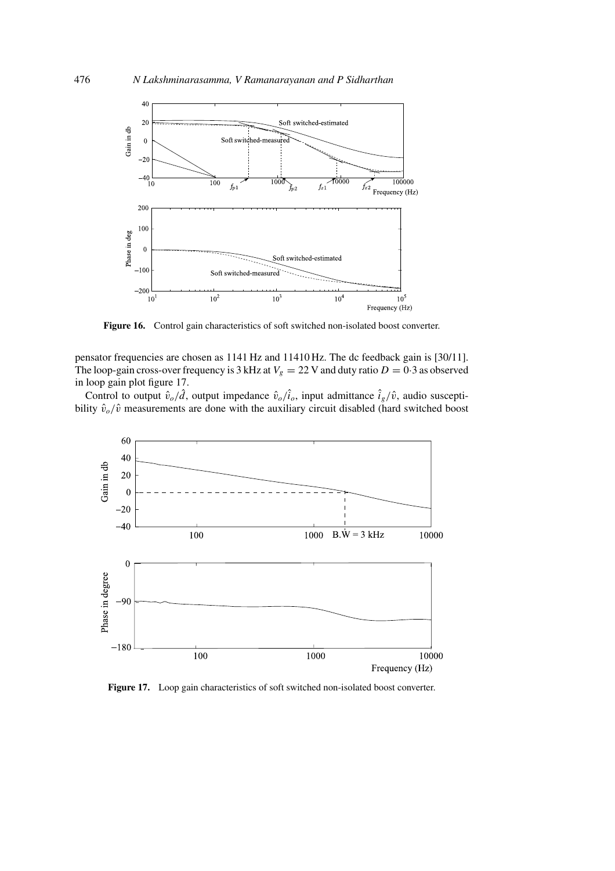![](_page_17_Figure_1.jpeg)

Figure 16. Control gain characteristics of soft switched non-isolated boost converter.

pensator frequencies are chosen as 1141 Hz and 11410 Hz. The dc feedback gain is [30/11]. The loop-gain cross-over frequency is 3 kHz at  $V_g = 22$  V and duty ratio  $D = 0.3$  as observed in loop gain plot figure 17.

Control to output  $\hat{v}_o/\hat{d}$ , output impedance  $\hat{v}_o/i_o$ , input admittance  $i_g/\hat{v}$ , audio susceptibility  $\hat{v}_o/\hat{v}$  measurements are done with the auxiliary circuit disabled (hard switched boost

![](_page_17_Figure_5.jpeg)

**Figure 17.** Loop gain characteristics of soft switched non-isolated boost converter.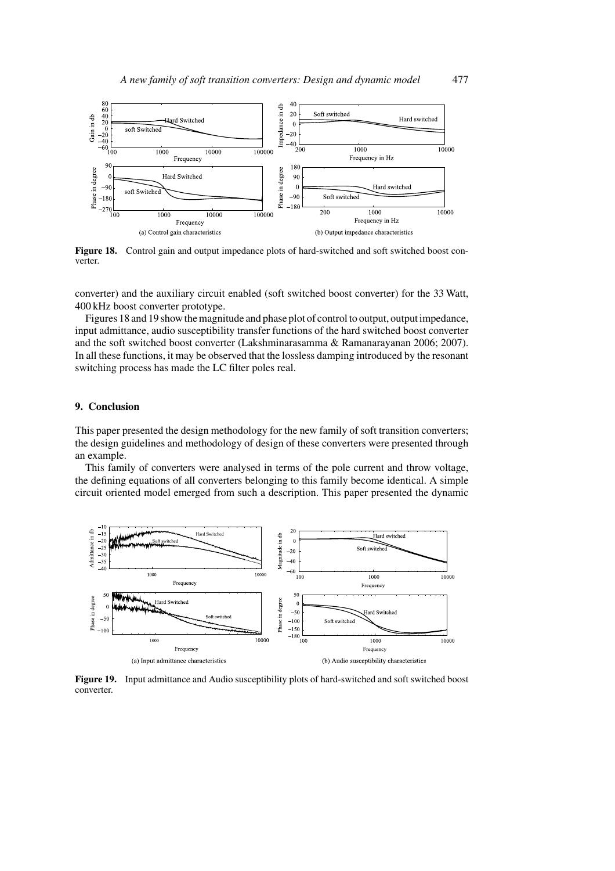![](_page_18_Figure_1.jpeg)

**Figure 18.** Control gain and output impedance plots of hard-switched and soft switched boost converter.

converter) and the auxiliary circuit enabled (soft switched boost converter) for the 33 Watt, 400 kHz boost converter prototype.

Figures 18 and 19 show the magnitude and phase plot of control to output, output impedance, input admittance, audio susceptibility transfer functions of the hard switched boost converter and the soft switched boost converter (Lakshminarasamma & Ramanarayanan 2006; 2007). In all these functions, it may be observed that the lossless damping introduced by the resonant switching process has made the LC filter poles real.

## **9. Conclusion**

This paper presented the design methodology for the new family of soft transition converters; the design guidelines and methodology of design of these converters were presented through an example.

This family of converters were analysed in terms of the pole current and throw voltage, the defining equations of all converters belonging to this family become identical. A simple circuit oriented model emerged from such a description. This paper presented the dynamic

![](_page_18_Figure_8.jpeg)

**Figure 19.** Input admittance and Audio susceptibility plots of hard-switched and soft switched boost converter.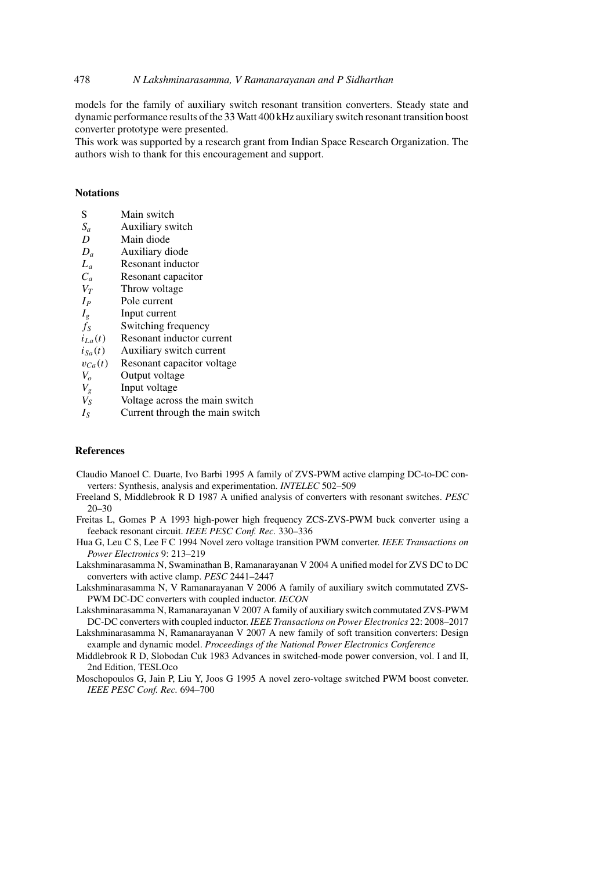### 478 *N Lakshminarasamma, V Ramanarayanan and P Sidharthan*

models for the family of auxiliary switch resonant transition converters. Steady state and dynamic performance results of the 33 Watt 400 kHz auxiliary switch resonant transition boost converter prototype were presented.

This work was supported by a research grant from Indian Space Research Organization. The authors wish to thank for this encouragement and support.

## **Notations**

- S Main switch
- $S_a$  Auxiliary switch
- D Main diode
- $D_a$  Auxiliary diode
- $L_a$  Resonant inductor
- $C_a$  Resonant capacitor<br> $V_T$  Throw voltage
- Throw voltage
- $I_P$  Pole current
- $I_g$  Input current
- $f_S$  Switching frequency
- $i_{La}(t)$  Resonant inductor current
- $i_{Sa}(t)$  Auxiliary switch current
- $v_{Ca}(t)$  Resonant capacitor voltage<br>  $V_o$  Output voltage
- $V_o$  Output voltage<br>  $V_g$  Input voltage
- $V_g$  Input voltage<br>  $V_S$  Voltage acros
- Voltage across the main switch
- $I_{S}$  Current through the main switch

#### **References**

- Claudio Manoel C. Duarte, Ivo Barbi 1995 A family of ZVS-PWM active clamping DC-to-DC converters: Synthesis, analysis and experimentation. *INTELEC* 502–509
- Freeland S, Middlebrook R D 1987 A unified analysis of converters with resonant switches. *PESC* 20–30
- Freitas L, Gomes P A 1993 high-power high frequency ZCS-ZVS-PWM buck converter using a feeback resonant circuit. *IEEE PESC Conf. Rec.* 330–336
- Hua G, Leu C S, Lee F C 1994 Novel zero voltage transition PWM converter. *IEEE Transactions on Power Electronics* 9: 213–219
- Lakshminarasamma N, Swaminathan B, Ramanarayanan V 2004 A unified model for ZVS DC to DC converters with active clamp. *PESC* 2441–2447
- Lakshminarasamma N, V Ramanarayanan V 2006 A family of auxiliary switch commutated ZVS-PWM DC-DC converters with coupled inductor. *IECON*
- Lakshminarasamma N, Ramanarayanan V 2007 A family of auxiliary switch commutated ZVS-PWM DC-DC converters with coupled inductor. *IEEE Transactions on Power Electronics* 22: 2008–2017
- Lakshminarasamma N, Ramanarayanan V 2007 A new family of soft transition converters: Design example and dynamic model. *Proceedings of the National Power Electronics Conference*
- Middlebrook R D, Slobodan Cuk 1983 Advances in switched-mode power conversion, vol. I and II, 2nd Edition, TESLOco
- Moschopoulos G, Jain P, Liu Y, Joos G 1995 A novel zero-voltage switched PWM boost conveter. *IEEE PESC Conf. Rec.* 694–700